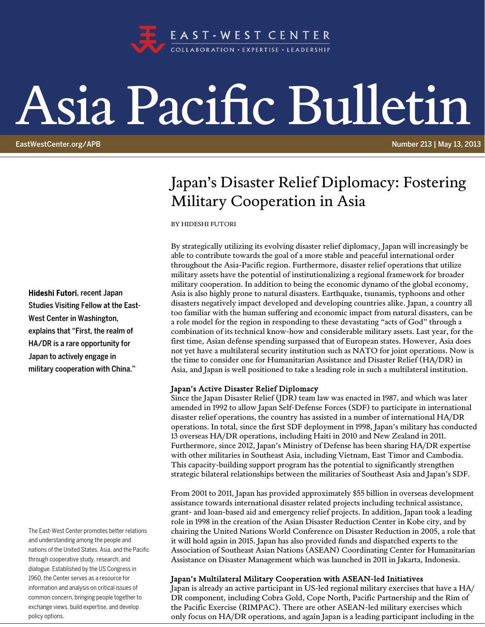

# Asia Pacific Bulletin

EastWestCenter.org/APB Number 213 | May 13, 2013

## Japan's Disaster Relief Diplomacy: Fostering Military Cooperation in Asia

BY HIDESHI FUTORI

By strategically utilizing its evolving disaster relief diplomacy, Japan will increasingly be able to contribute towards the goal of a more stable and peaceful international order throughout the Asia-Pacific region. Furthermore, disaster relief operations that utilize military assets have the potential of institutionalizing a regional framework for broader military cooperation. In addition to being the economic dynamo of the global economy, Asia is also highly prone to natural disasters. Earthquake, tsunamis, typhoons and other disasters negatively impact developed and developing countries alike. Japan, a country all too familiar with the human suffering and economic impact from natural disasters, can be a role model for the region in responding to these devastating "acts of God" through a combination of its technical know-how and considerable military assets. Last year, for the first time, Asian defense spending surpassed that of European states. However, Asia does not yet have a multilateral security institution such as NATO for joint operations. Now is the time to consider one for Humanitarian Assistance and Disaster Relief (HA/DR) in Asia, and Japan is well positioned to take a leading role in such a multilateral institution.

#### Japan's Active Disaster Relief Diplomacy

Since the Japan Disaster Relief (JDR) team law was enacted in 1987, and which was later amended in 1992 to allow Japan Self-Defense Forces (SDF) to participate in international disaster relief operations, the country has assisted in a number of international HA/DR operations. In total, since the first SDF deployment in 1998, Japan's military has conducted 13 overseas HA/DR operations, including Haiti in 2010 and New Zealand in 2011. Furthermore, since 2012, Japan's Ministry of Defense has been sharing HA/DR expertise with other militaries in Southeast Asia, including Vietnam, East Timor and Cambodia. This capacity-building support program has the potential to significantly strengthen strategic bilateral relationships between the militaries of Southeast Asia and Japan's SDF.

From 2001 to 2011, Japan has provided approximately \$55 billion in overseas development assistance towards international disaster related projects including technical assistance, grant- and loan-based aid and emergency relief projects. In addition, Japan took a leading role in 1998 in the creation of the Asian Disaster Reduction Center in Kobe city, and by chairing the United Nations World Conference on Disaster Reduction in 2005, a role that it will hold again in 2015. Japan has also provided funds and dispatched experts to the Association of Southeast Asian Nations (ASEAN) Coordinating Center for Humanitarian Assistance on Disaster Management which was launched in 2011 in Jakarta, Indonesia.

#### Japan's Multilateral Military Cooperation with ASEAN-led Initiatives

Japan is already an active participant in US-led regional military exercises that have a HA/ DR component, including Cobra Gold, Cope North, Pacific Partnership and the Rim of the Pacific Exercise (RIMPAC). There are other ASEAN-led military exercises which only focus on HA/DR operations, and again Japan is a leading participant including in the

Hideshi Futori, recent Japan Studies Visiting Fellow at the East-West Center in Washington, explains that "First, the realm of HA/DR is a rare opportunity for Japan to actively engage in military cooperation with China."

The East-West Center promotes better relations and understanding among the people and nations of the United States, Asia, and the Pacific through cooperative study, research, and dialogue. Established by the US Congress in 1960, the Center serves as a resource for information and analysis on critical issues of common concern, bringing people together to exchange views, build expertise, and develop policy options.